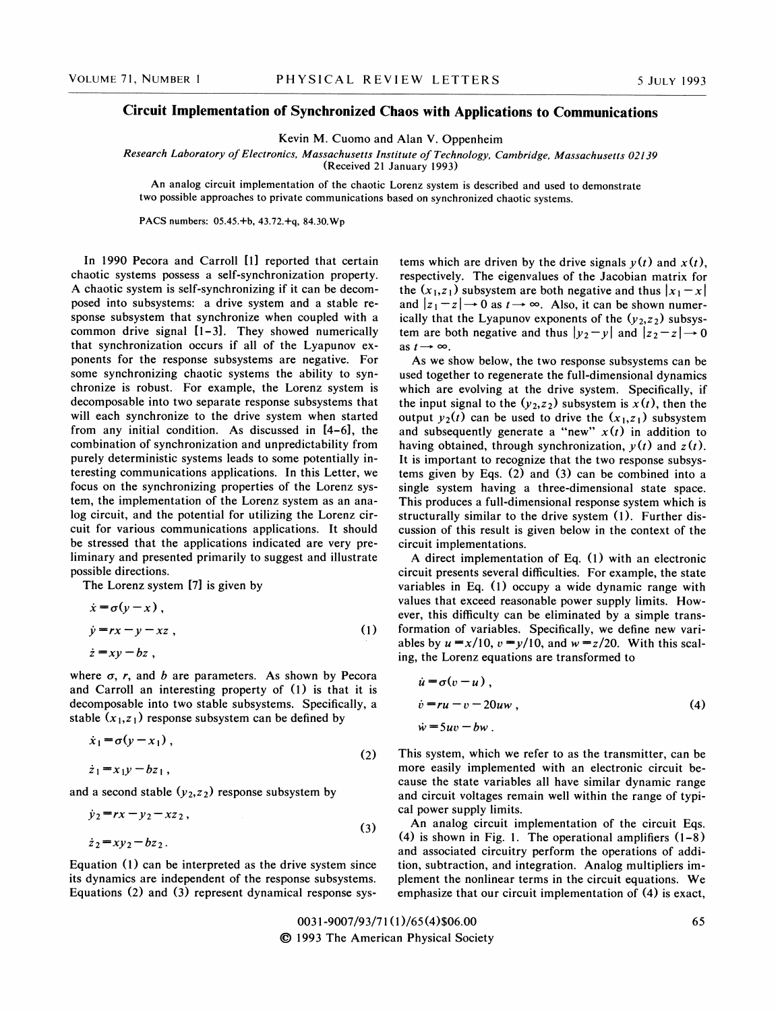## Circuit Implementation of Synchronized Chaos with Applications to Communications

Kevin M. Cuomo and Alan V. Oppenheim

Research Laboratory of Electronics, Massachusetts Institute of Technology, Cambridge, Massachusetts 02139

(Received 21 January 1993)

An analog circuit implementation of the chaotic Lorenz system is described and used to demonstrate two possible approaches to private communications based on synchronized chaotic systems.

PACS numbers: 05.45.+b, 43.72.+q, 84.30.Wp

In 1990 Pecora and Carroll [1] reported that certain chaotic systems possess a self-synchronization property. A chaotic system is self-synchronizing if it can be decomposed into subsystems: a drive system and a stable response subsystem that synchromze when coupled with a common drive signal [1-3]. They showed numerically that synchronization occurs if all of the Lyapunov exponents for the response subsystems are negative. For some synchronizing chaotic systems the ability to synchronize is robust. For example, the Lorenz system is decomposable into two separate response subsystems that will each synchronize to the drive system when started from any initial condition. As discussed in [4-6], the combination of synchronization and unpredictability from purely deterministic systems leads to some potentially interesting communications applications. In this Letter, we focus on the synchronizing properties of the Lorenz system, the implementation of the Lorenz system as an analog circuit, and the potential for utilizing the Lorenz circuit for various communications applications. It should be stressed that the applications indicated are very preliminary and presented primarily to suggest and illustrate possible directions.

The Lorenz system [7] is given by

$$
\begin{aligned}\n\dot{x} &= \sigma(y - x), \\
\dot{y} &= rx - y - xz, \\
\dot{z} &= xy - bz,\n\end{aligned}
$$
\n(1)

where  $\sigma$ , r, and b are parameters. As shown by Pecora and Carroll an interesting property of (I) is that it is decomposable into two stable subsystems. Specifically, a stable  $(x_1, z_1)$  response subsystem can be defined by

$$
\dot{x}_1 = \sigma(y - x_1),
$$
  
\n
$$
\dot{z}_1 = x_1 y - b z_1,
$$
\n(2)

and a second stable  $(y_2, z_2)$  response subsystem by

$$
\dot{y}_2 = rx - y_2 - xz_2, \n\dot{z}_2 = xy_2 - bz_2.
$$
\n(3)

Equation (1) can be interpreted as the drive system since its dynamics are independent of the response subsystems. Equations (2) and (3) represent dynamical response systems which are driven by the drive signals  $y(t)$  and  $x(t)$ , respectively. The eigenvalues of the Jacobian matrix for the  $(x_1, z_1)$  subsystem are both negative and thus  $|x_1 - x|$ and  $|z_1 - z| \rightarrow 0$  as  $t \rightarrow \infty$ . Also, it can be shown numerically that the Lyapunov exponents of the  $(y_2, z_2)$  subsystem are both negative and thus  $|y_2 - y|$  and  $|z_2 - z| \rightarrow 0$ as  $t \rightarrow \infty$ .

As we show below, the two response subsystems can be used together to regenerate the full-dimensional dynamics which are evolving at the drive system. Specifically, if the input signal to the  $(y_2, z_2)$  subsystem is  $x(t)$ , then the output  $y_2(t)$  can be used to drive the  $(x_1, z_1)$  subsystem and subsequently generate a "new"  $x(t)$  in addition to having obtained, through synchronization,  $y(t)$  and  $z(t)$ . It is important to recognize that the two response subsystems given by Eqs. (2) and (3) can be combined into a single system having a three-dimensional state space. This produces a full-dimensional response system which is structurally similar to the drive system (1). Further discussion of this result is given below in the context of the circuit implementations.

A direct implementation of Eq.  $(1)$  with an electronic circuit presents several difficulties. For example, the state variables in Eq. (1) occupy a wide dynamic range with values that exceed reasonable power supply limits. However, this difficulty can be eliminated by a simple transformation of variables. Specifically, we define new variables by  $u = x/10$ ,  $v = y/10$ , and  $w = z/20$ . With this scaling, the Lorenz equations are transformed to

$$
\begin{aligned}\n\dot{u} &= \sigma(v - u) ,\\
\dot{v} &= ru - v - 20uw ,\\
\dot{w} &= 5uv - bw .\n\end{aligned}
$$
\n(4)

This system, which we refer to as the transmitter, can be more easily implemented with an electronic circuit because the state variables all have similar dynamic range and circuit voltages remain well within the range of typical power supply limits.

An analog circuit implementation of the circuit Eqs. (4) is shown in Fig. 1. The operational amplifiers (1-8) and associated circuitry perform the operations of addition, subtraction, and integration. Analog multipliers implement the nonlinear terms in the circuit equations. We emphasize that our circuit implementation of (4) is exact,

0031-9007/93/71 (1)/65 (4)\$06.00 Qc 1993 The American Physical Society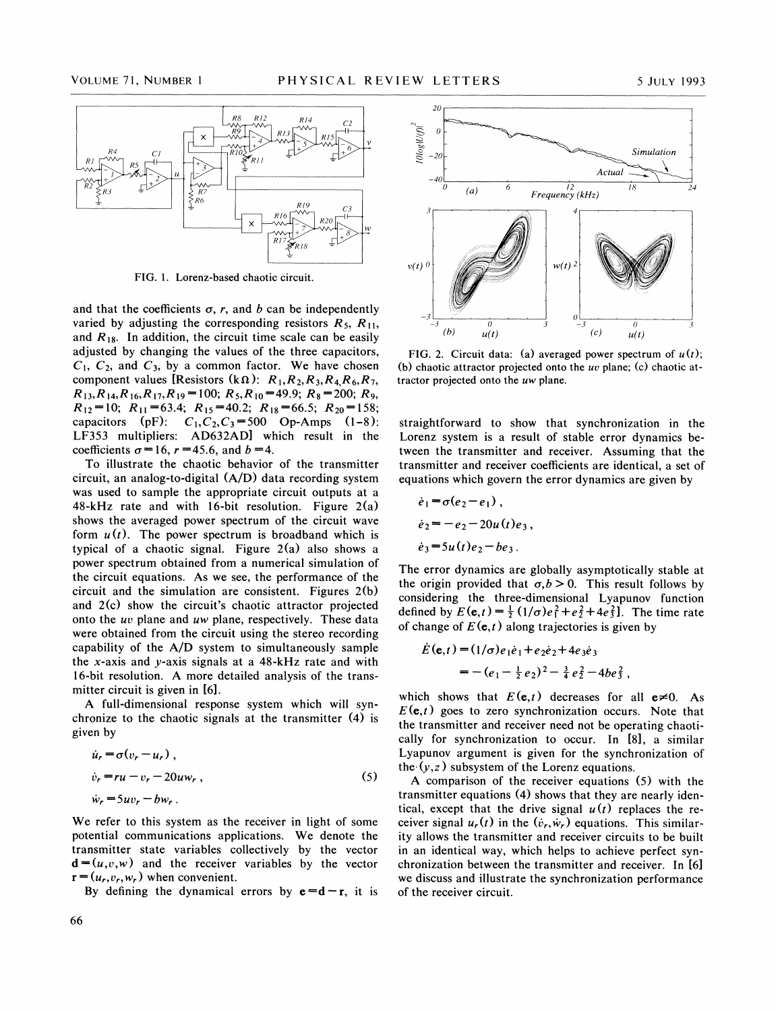

FIG. 1. Lorenz-based chaotic circuit.

and that the coefficients  $\sigma$ , r, and b can be independently varied by adjusting the corresponding resistors  $R_5$ ,  $R_{11}$ , and  $R_{18}$ . In addition, the circuit time scale can be easily adjusted by changing the values of the three capacitors,  $C_1$ ,  $C_2$ , and  $C_3$ , by a common factor. We have chosen component values [Resistors (k $\Omega$ ):  $R_1, R_2, R_3, R_4, R_6, R_7$ ,  $R_{13},R_{14},R_{16},R_{17},R_{19} =100; R_5,R_{10} = 49.9; R_8 = 200; R_9,$  $R_{12}=10$ ;  $R_{11}=63.4$ ;  $R_{15}=40.2$ ;  $R_{18}=66.5$ ;  $R_{20}=158$ ; capacitors (pF):  $C_1, C_2, C_3 = 500$  Op-Amps (1-8): LF353 multipliers: AD632AD] which result in the coefficients  $\sigma = 16$ ,  $r = 45.6$ , and  $b = 4$ .

To illustrate the chaotic behavior of the transmitter circuit, an analog-to-digital (A/D) data recording system was used to sample the appropriate circuit outputs at a  $48-kHz$  rate and with 16-bit resolution. Figure  $2(a)$ shows the averaged power spectrum of the circuit wave form  $u(t)$ . The power spectrum is broadband which is typical of a chaotic signal. Figure 2(a) also shows a power spectrum obtained from a numerical simulation of the circuit equations. As we see, the performance of the circuit and the simulation are consistent. Figures 2(b) and 2(c) show the circuit's chaotic attractor projected onto the uv plane and uw plane, respectively. These data were obtained from the circuit using the stereo recording capability of the A/D system to simultaneously sample the x-axis and  $y$ -axis signals at a 48-kHz rate and with 16-bit resolution. A more detailed analysis of the transmitter circuit is given in [6].

A full-dimensional response system which will synchronize to the chaotic signals at the transmitter (4) is given by

$$
\dot{u}_r = \sigma(v_r - u_r),
$$
  
\n
$$
\dot{v}_r = ru - v_r - 20u w_r,
$$
  
\n
$$
\dot{w}_r = 5uv_r - bw_r.
$$
\n(5)

We refer to this system as the receiver in light of some potential communications applications. We denote the transmitter state variables collectively by the vector  $\mathbf{d} = (u, v, w)$  and the receiver variables by the vector  $\mathbf{r} = (u_r, v_r, w_r)$  when convenient.

By defining the dynamical errors by  $e = d - r$ , it is



FIG. 2. Circuit data: (a) averaged power spectrum of  $u(t)$ ; (b) chaotic attractor projected onto the  $uv$  plane; (c) chaotic attractor projected onto the  $uw$  plane.

straightforward to show that synchronization in the Lorenz system is a result of stable error dynamics between the transmitter and receiver. Assuming that the transmitter and receiver coefficients are identical, a set of equations which govern the error dynamics are given by

$$
\dot{e}_1 = \sigma(e_2 - e_1),
$$
  
\n
$$
\dot{e}_2 = -e_2 - 20u(t)e_3,
$$
  
\n
$$
\dot{e}_3 = 5u(t)e_2 - be_3.
$$

The error dynamics are globally asymptotically stable at the origin provided that  $\sigma, b > 0$ . This result follows by considering the three-dimensional Lyapunov function defined by  $E(e, t) = \frac{1}{2} (1/\sigma) e_1^2 + e_2^2 + 4e_3^2$ . The time rate of change of  $E(e,t)$  along trajectories is given by

$$
\dot{E}(\mathbf{e},t) = (1/\sigma)e_1\dot{e}_1 + e_2\dot{e}_2 + 4e_3\dot{e}_3
$$
  
= - (e\_1 - \frac{1}{2}e\_2)^2 - \frac{3}{4}e\_2^2 - 4be\_3^2,

which shows that  $E(\mathbf{e},t)$  decreases for all  $\mathbf{e}\neq 0$ . As  $E(\mathbf{e},t)$  goes to zero synchronization occurs. Note that the transmitter and receiver need not be operating chaotically for synchronization to occur. In [8], a similar Lyapunov argument is given for the synchronization of the  $(y, z)$  subsystem of the Lorenz equations.

A comparison of the receiver equations (5) with the transmitter equations (4) shows that they are nearly identical, except that the drive signal  $u(t)$  replaces the receiver signal  $u_r(t)$  in the  $(\dot{v}_r, \dot{w}_r)$  equations. This similarity allows the transmitter and receiver circuits to be built in an identical way, which helps to achieve perfect synchronization between the transmitter and receiver. In [6] we discuss and illustrate the synchronization performance of the receiver circuit.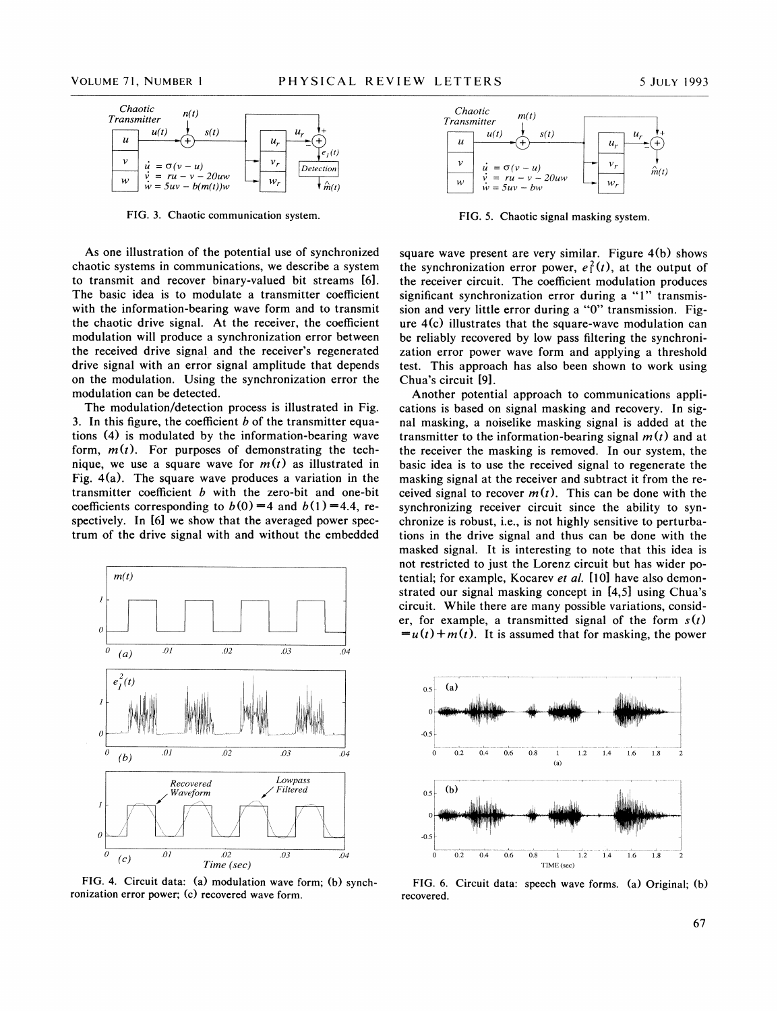

FIG. 3. Chaotic communication system. FIG. 5. Chaotic signal masking system.

As one illustration of the potential use of synchronized chaotic systems in communications, we describe a system to transmit and recover binary-valued bit streams [6]. The basic idea is to modulate a transmitter coefficient with the information-bearing wave form and to transmit the chaotic drive signal. At the receiver, the coefficient modulation will produce a synchronization error between the received drive signal and the receiver's regenerated drive signal with an error signal amplitude that depends on the modulation. Using the synchronization error the modulation can be detected.

The modulation/detection process is illustrated in Fig. 3. In this figure, the coefficient  $b$  of the transmitter equations (4) is modulated by the information-bearing wave form,  $m(t)$ . For purposes of demonstrating the technique, we use a square wave for  $m(t)$  as illustrated in Fig. 4(a). The square wave produces a variation in the transmitter coefficient  $b$  with the zero-bit and one-bit coefficients corresponding to  $b(0) = 4$  and  $b(1) = 4.4$ , respectively. In [6] we show that the averaged power spectrum of the drive signal with and without the embedded



FIG. 4. Circuit data: (a) modulation wave form; (b) synchronization error power; (c) recovered wave form.



square wave present are very similar. Figure 4(b) shows the synchronization error power,  $e_1^2(t)$ , at the output of the receiver circuit. The coefficient modulation produces significant synchronization error during a "1" transmission and very little error during a "0" transmission. Figure 4(c) illustrates that the square-wave modulation can be reliably recovered by low pass filtering the synchronization error power wave form and applying a threshold test. This approach has also been shown to work using Chua's circuit [9].

Another potential approach to communications applications is based on signal masking and recovery. In signal masking, a noiselike masking signal is added at the transmitter to the information-bearing signal  $m(t)$  and at the receiver the masking is removed. In our system, the basic idea is to use the received signal to regenerate the masking signal at the receiver and subtract it from the received signal to recover  $m(t)$ . This can be done with the synchronizing receiver circuit since the ability to synchronize is robust, i.e., is not highly sensitive to perturbations in the drive signal and thus can be done with the masked signal. It is interesting to note that this idea is not restricted to just the Lorenz circuit but has wider potential; for example, Kocarev et al. [10] have also demonstrated our signal masking concept in [4,5] using Chua's circuit. While there are many possible variations, consider, for example, a transmitted signal of the form  $s(t)$  $=u(t)+m(t)$ . It is assumed that for masking, the power



FIG. 6. Circuit data: speech wave forms. (a) Original; (b) recovered.